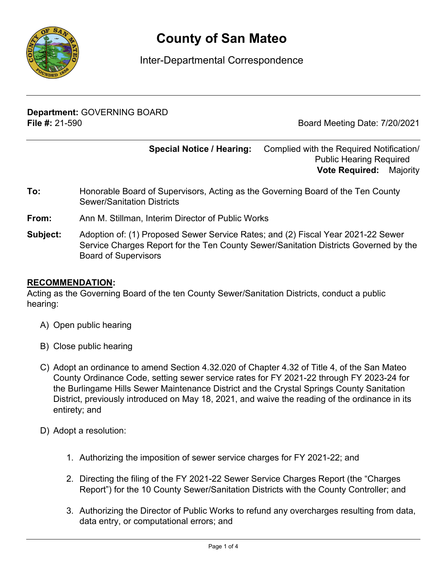

# **County of San Mateo**

## Inter-Departmental Correspondence

**Department:** GOVERNING BOARD **File #:** 21-590 Board Meeting Date: 7/20/2021

**Special Notice / Hearing:** Complied with the Required Notification/ Public Hearing Required\_\_ **Vote Required:** Majority

- **To:** Honorable Board of Supervisors, Acting as the Governing Board of the Ten County Sewer/Sanitation Districts
- **From:** Ann M. Stillman, Interim Director of Public Works
- **Subject:** Adoption of: (1) Proposed Sewer Service Rates; and (2) Fiscal Year 2021-22 Sewer Service Charges Report for the Ten County Sewer/Sanitation Districts Governed by the Board of Supervisors

#### **RECOMMENDATION:**

Acting as the Governing Board of the ten County Sewer/Sanitation Districts, conduct a public hearing:

- A) Open public hearing
- B) Close public hearing
- C) Adopt an ordinance to amend Section 4.32.020 of Chapter 4.32 of Title 4, of the San Mateo County Ordinance Code, setting sewer service rates for FY 2021-22 through FY 2023-24 for the Burlingame Hills Sewer Maintenance District and the Crystal Springs County Sanitation District, previously introduced on May 18, 2021, and waive the reading of the ordinance in its entirety; and
- D) Adopt a resolution:
	- 1. Authorizing the imposition of sewer service charges for FY 2021-22; and
	- 2. Directing the filing of the FY 2021-22 Sewer Service Charges Report (the "Charges Report") for the 10 County Sewer/Sanitation Districts with the County Controller; and
	- 3. Authorizing the Director of Public Works to refund any overcharges resulting from data, data entry, or computational errors; and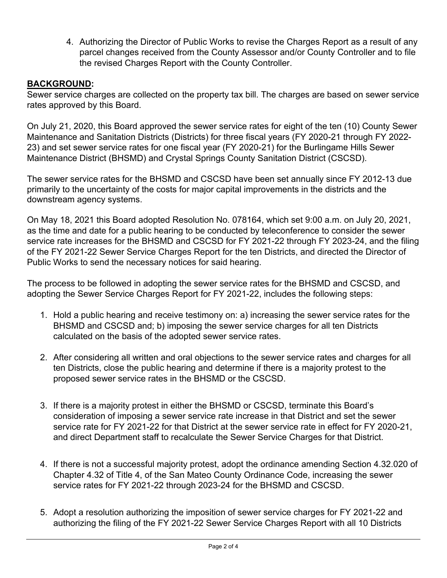4. Authorizing the Director of Public Works to revise the Charges Report as a result of any parcel changes received from the County Assessor and/or County Controller and to file the revised Charges Report with the County Controller.

### **BACKGROUND:**

Sewer service charges are collected on the property tax bill. The charges are based on sewer service rates approved by this Board.

On July 21, 2020, this Board approved the sewer service rates for eight of the ten (10) County Sewer Maintenance and Sanitation Districts (Districts) for three fiscal years (FY 2020-21 through FY 2022- 23) and set sewer service rates for one fiscal year (FY 2020-21) for the Burlingame Hills Sewer Maintenance District (BHSMD) and Crystal Springs County Sanitation District (CSCSD).

The sewer service rates for the BHSMD and CSCSD have been set annually since FY 2012-13 due primarily to the uncertainty of the costs for major capital improvements in the districts and the downstream agency systems.

On May 18, 2021 this Board adopted Resolution No. 078164, which set 9:00 a.m. on July 20, 2021, as the time and date for a public hearing to be conducted by teleconference to consider the sewer service rate increases for the BHSMD and CSCSD for FY 2021-22 through FY 2023-24, and the filing of the FY 2021-22 Sewer Service Charges Report for the ten Districts, and directed the Director of Public Works to send the necessary notices for said hearing.

The process to be followed in adopting the sewer service rates for the BHSMD and CSCSD, and adopting the Sewer Service Charges Report for FY 2021-22, includes the following steps:

- 1. Hold a public hearing and receive testimony on: a) increasing the sewer service rates for the BHSMD and CSCSD and; b) imposing the sewer service charges for all ten Districts calculated on the basis of the adopted sewer service rates.
- 2. After considering all written and oral objections to the sewer service rates and charges for all ten Districts, close the public hearing and determine if there is a majority protest to the proposed sewer service rates in the BHSMD or the CSCSD.
- 3. If there is a majority protest in either the BHSMD or CSCSD, terminate this Board's consideration of imposing a sewer service rate increase in that District and set the sewer service rate for FY 2021-22 for that District at the sewer service rate in effect for FY 2020-21, and direct Department staff to recalculate the Sewer Service Charges for that District.
- 4. If there is not a successful majority protest, adopt the ordinance amending Section 4.32.020 of Chapter 4.32 of Title 4, of the San Mateo County Ordinance Code, increasing the sewer service rates for FY 2021-22 through 2023-24 for the BHSMD and CSCSD.
- 5. Adopt a resolution authorizing the imposition of sewer service charges for FY 2021-22 and authorizing the filing of the FY 2021-22 Sewer Service Charges Report with all 10 Districts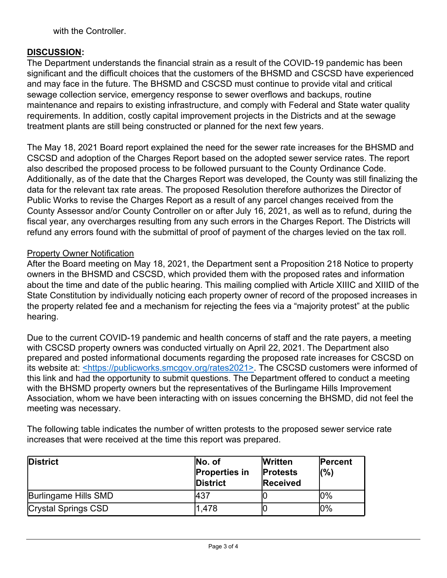with the Controller.

#### **DISCUSSION:**

The Department understands the financial strain as a result of the COVID-19 pandemic has been significant and the difficult choices that the customers of the BHSMD and CSCSD have experienced and may face in the future. The BHSMD and CSCSD must continue to provide vital and critical sewage collection service, emergency response to sewer overflows and backups, routine maintenance and repairs to existing infrastructure, and comply with Federal and State water quality requirements. In addition, costly capital improvement projects in the Districts and at the sewage treatment plants are still being constructed or planned for the next few years.

The May 18, 2021 Board report explained the need for the sewer rate increases for the BHSMD and CSCSD and adoption of the Charges Report based on the adopted sewer service rates. The report also described the proposed process to be followed pursuant to the County Ordinance Code. Additionally, as of the date that the Charges Report was developed, the County was still finalizing the data for the relevant tax rate areas. The proposed Resolution therefore authorizes the Director of Public Works to revise the Charges Report as a result of any parcel changes received from the County Assessor and/or County Controller on or after July 16, 2021, as well as to refund, during the fiscal year, any overcharges resulting from any such errors in the Charges Report. The Districts will refund any errors found with the submittal of proof of payment of the charges levied on the tax roll.

#### Property Owner Notification

After the Board meeting on May 18, 2021, the Department sent a Proposition 218 Notice to property owners in the BHSMD and CSCSD, which provided them with the proposed rates and information about the time and date of the public hearing. This mailing complied with Article XIIIC and XIIID of the State Constitution by individually noticing each property owner of record of the proposed increases in the property related fee and a mechanism for rejecting the fees via a "majority protest" at the public hearing.

Due to the current COVID-19 pandemic and health concerns of staff and the rate payers, a meeting with CSCSD property owners was conducted virtually on April 22, 2021. The Department also prepared and posted informational documents regarding the proposed rate increases for CSCSD on its website at: <https://publicworks.smcgov.org/rates2021>. The CSCSD customers were informed of this link and had the opportunity to submit questions. The Department offered to conduct a meeting with the BHSMD property owners but the representatives of the Burlingame Hills Improvement Association, whom we have been interacting with on issues concerning the BHSMD, did not feel the meeting was necessary.

The following table indicates the number of written protests to the proposed sewer service rate increases that were received at the time this report was prepared.

| <b>District</b>            | No. of<br><b>Properties in</b><br><b>District</b> | <b>Written</b><br><b>Protests</b><br>Received | <b>Percent</b><br>(%) |
|----------------------------|---------------------------------------------------|-----------------------------------------------|-----------------------|
| Burlingame Hills SMD       | <b>A37</b>                                        |                                               | $0\%$                 |
| <b>Crystal Springs CSD</b> | 1,478                                             |                                               | 10%                   |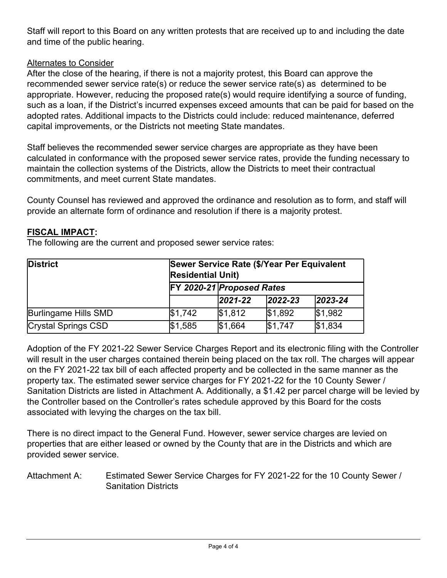Staff will report to this Board on any written protests that are received up to and including the date and time of the public hearing.

### Alternates to Consider

After the close of the hearing, if there is not a majority protest, this Board can approve the recommended sewer service rate(s) or reduce the sewer service rate(s) as determined to be appropriate. However, reducing the proposed rate(s) would require identifying a source of funding, such as a loan, if the District's incurred expenses exceed amounts that can be paid for based on the adopted rates. Additional impacts to the Districts could include: reduced maintenance, deferred capital improvements, or the Districts not meeting State mandates.

Staff believes the recommended sewer service charges are appropriate as they have been calculated in conformance with the proposed sewer service rates, provide the funding necessary to maintain the collection systems of the Districts, allow the Districts to meet their contractual commitments, and meet current State mandates.

County Counsel has reviewed and approved the ordinance and resolution as to form, and staff will provide an alternate form of ordinance and resolution if there is a majority protest.

#### **FISCAL IMPACT:**

The following are the current and proposed sewer service rates:

| <b>District</b>      | Sewer Service Rate (\$/Year Per Equivalent<br><b>Residential Unit)</b> |               |               |               |
|----------------------|------------------------------------------------------------------------|---------------|---------------|---------------|
|                      | FY 2020-21 Proposed Rates                                              |               |               |               |
|                      |                                                                        | $ 2021 - 22 $ | $ 2022 - 23 $ | $ 2023 - 24 $ |
| Burlingame Hills SMD | \$1,742                                                                | \$1,812       | \$1,892       | \$1,982       |
| Crystal Springs CSD  | \$1,585                                                                | \$1,664       | \$1,747       | \$1,834       |

Adoption of the FY 2021-22 Sewer Service Charges Report and its electronic filing with the Controller will result in the user charges contained therein being placed on the tax roll. The charges will appear on the FY 2021-22 tax bill of each affected property and be collected in the same manner as the property tax. The estimated sewer service charges for FY 2021-22 for the 10 County Sewer / Sanitation Districts are listed in Attachment A. Additionally, a \$1.42 per parcel charge will be levied by the Controller based on the Controller's rates schedule approved by this Board for the costs associated with levying the charges on the tax bill.

There is no direct impact to the General Fund. However, sewer service charges are levied on properties that are either leased or owned by the County that are in the Districts and which are provided sewer service.

Attachment A: Estimated Sewer Service Charges for FY 2021-22 for the 10 County Sewer / Sanitation Districts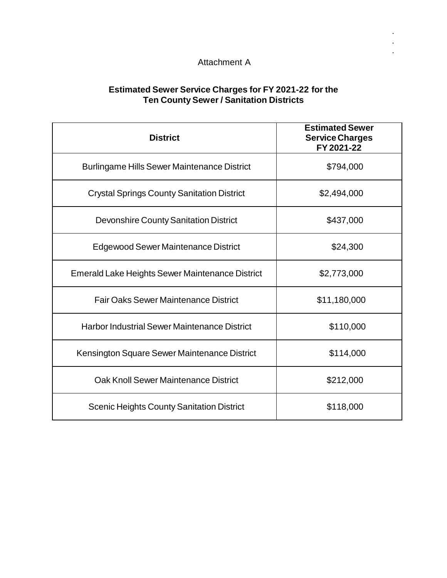#### Attachment A

. . .

#### **Estimated Sewer Service Charges for FY 2021-22 for the Ten County Sewer / Sanitation Districts**

| <b>District</b>                                        | <b>Estimated Sewer</b><br><b>Service Charges</b><br>FY 2021-22 |
|--------------------------------------------------------|----------------------------------------------------------------|
| <b>Burlingame Hills Sewer Maintenance District</b>     | \$794,000                                                      |
| <b>Crystal Springs County Sanitation District</b>      | \$2,494,000                                                    |
| <b>Devonshire County Sanitation District</b>           | \$437,000                                                      |
| Edgewood Sewer Maintenance District                    | \$24,300                                                       |
| <b>Emerald Lake Heights Sewer Maintenance District</b> | \$2,773,000                                                    |
| <b>Fair Oaks Sewer Maintenance District</b>            | \$11,180,000                                                   |
| <b>Harbor Industrial Sewer Maintenance District</b>    | \$110,000                                                      |
| Kensington Square Sewer Maintenance District           | \$114,000                                                      |
| Oak Knoll Sewer Maintenance District                   | \$212,000                                                      |
| <b>Scenic Heights County Sanitation District</b>       | \$118,000                                                      |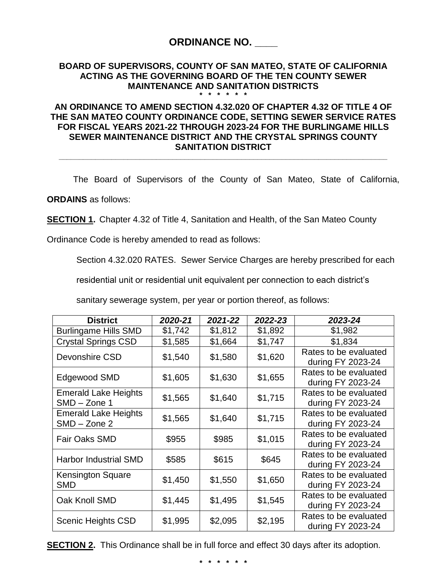## **ORDINANCE NO. \_\_\_\_**

#### **BOARD OF SUPERVISORS, COUNTY OF SAN MATEO, STATE OF CALIFORNIA ACTING AS THE GOVERNING BOARD OF THE TEN COUNTY SEWER MAINTENANCE AND SANITATION DISTRICTS \* \* \* \* \* \***

#### **AN ORDINANCE TO AMEND SECTION 4.32.020 OF CHAPTER 4.32 OF TITLE 4 OF THE SAN MATEO COUNTY ORDINANCE CODE, SETTING SEWER SERVICE RATES FOR FISCAL YEARS 2021-22 THROUGH 2023-24 FOR THE BURLINGAME HILLS SEWER MAINTENANCE DISTRICT AND THE CRYSTAL SPRINGS COUNTY SANITATION DISTRICT**

**\_\_\_\_\_\_\_\_\_\_\_\_\_\_\_\_\_\_\_\_\_\_\_\_\_\_\_\_\_\_\_\_\_\_\_\_\_\_\_\_\_\_\_\_\_\_\_\_\_\_\_\_\_\_\_\_\_\_\_\_\_\_\_\_\_\_\_\_\_\_\_\_\_\_\_\_\_\_\_\_\_**

The Board of Supervisors of the County of San Mateo, State of California,

**ORDAINS** as follows:

**SECTION 1.** Chapter 4.32 of Title 4, Sanitation and Health, of the San Mateo County

Ordinance Code is hereby amended to read as follows:

Section 4.32.020 RATES. Sewer Service Charges are hereby prescribed for each

residential unit or residential unit equivalent per connection to each district's

sanitary sewerage system, per year or portion thereof, as follows:

| <b>District</b>                               | 2020-21 | 2021-22 | 2022-23 | 2023-24                                    |
|-----------------------------------------------|---------|---------|---------|--------------------------------------------|
| <b>Burlingame Hills SMD</b>                   | \$1,742 | \$1,812 | \$1,892 | \$1,982                                    |
| <b>Crystal Springs CSD</b>                    | \$1,585 | \$1,664 | \$1,747 | \$1,834                                    |
| Devonshire CSD                                | \$1,540 | \$1,580 | \$1,620 | Rates to be evaluated<br>during FY 2023-24 |
| Edgewood SMD                                  | \$1,605 | \$1,630 | \$1,655 | Rates to be evaluated<br>during FY 2023-24 |
| <b>Emerald Lake Heights</b><br>SMD - Zone 1   | \$1,565 | \$1,640 | \$1,715 | Rates to be evaluated<br>during FY 2023-24 |
| <b>Emerald Lake Heights</b><br>$SMD - Zone 2$ | \$1,565 | \$1,640 | \$1,715 | Rates to be evaluated<br>during FY 2023-24 |
| <b>Fair Oaks SMD</b>                          | \$955   | \$985   | \$1,015 | Rates to be evaluated<br>during FY 2023-24 |
| <b>Harbor Industrial SMD</b>                  | \$585   | \$615   | \$645   | Rates to be evaluated<br>during FY 2023-24 |
| Kensington Square<br><b>SMD</b>               | \$1,450 | \$1,550 | \$1,650 | Rates to be evaluated<br>during FY 2023-24 |
| Oak Knoll SMD                                 | \$1,445 | \$1,495 | \$1,545 | Rates to be evaluated<br>during FY 2023-24 |
| <b>Scenic Heights CSD</b>                     | \$1,995 | \$2,095 | \$2,195 | Rates to be evaluated<br>during FY 2023-24 |

**SECTION 2.** This Ordinance shall be in full force and effect 30 days after its adoption.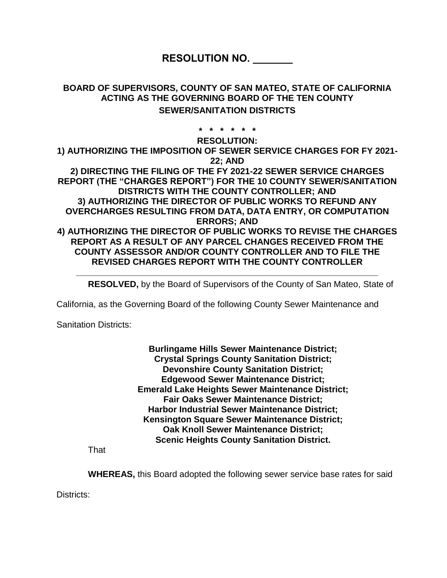## **RESOLUTION NO. \_\_\_\_\_\_\_**

#### **BOARD OF SUPERVISORS, COUNTY OF SAN MATEO, STATE OF CALIFORNIA ACTING AS THE GOVERNING BOARD OF THE TEN COUNTY SEWER/SANITATION DISTRICTS**

**\* \* \* \* \* \***

**RESOLUTION:**

**1) AUTHORIZING THE IMPOSITION OF SEWER SERVICE CHARGES FOR FY 2021- 22; AND 2) DIRECTING THE FILING OF THE FY 2021-22 SEWER SERVICE CHARGES REPORT (THE "CHARGES REPORT") FOR THE 10 COUNTY SEWER/SANITATION DISTRICTS WITH THE COUNTY CONTROLLER; AND 3) AUTHORIZING THE DIRECTOR OF PUBLIC WORKS TO REFUND ANY OVERCHARGES RESULTING FROM DATA, DATA ENTRY, OR COMPUTATION ERRORS; AND 4) AUTHORIZING THE DIRECTOR OF PUBLIC WORKS TO REVISE THE CHARGES REPORT AS A RESULT OF ANY PARCEL CHANGES RECEIVED FROM THE** 

**COUNTY ASSESSOR AND/OR COUNTY CONTROLLER AND TO FILE THE REVISED CHARGES REPORT WITH THE COUNTY CONTROLLER**

**\_\_\_\_\_\_\_\_\_\_\_\_\_\_\_\_\_\_\_\_\_\_\_\_\_\_\_\_\_\_\_\_\_\_\_\_\_\_\_\_\_\_\_\_\_\_\_\_\_\_\_\_\_\_\_\_\_\_\_\_\_\_**

**RESOLVED,** by the Board of Supervisors of the County of San Mateo, State of

California, as the Governing Board of the following County Sewer Maintenance and

Sanitation Districts:

**Burlingame Hills Sewer Maintenance District; Crystal Springs County Sanitation District; Devonshire County Sanitation District; Edgewood Sewer Maintenance District; Emerald Lake Heights Sewer Maintenance District; Fair Oaks Sewer Maintenance District; Harbor Industrial Sewer Maintenance District; Kensington Square Sewer Maintenance District; Oak Knoll Sewer Maintenance District; Scenic Heights County Sanitation District.**

**That** 

**WHEREAS,** this Board adopted the following sewer service base rates for said

Districts: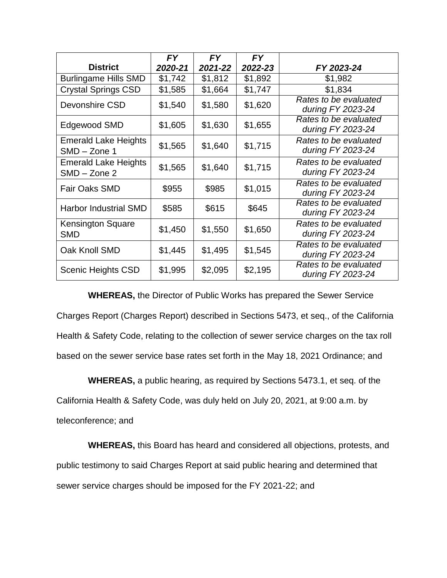|                                               | <b>FY</b> | <b>FY</b> | <b>FY</b> |                                            |
|-----------------------------------------------|-----------|-----------|-----------|--------------------------------------------|
| <b>District</b>                               | 2020-21   | 2021-22   | 2022-23   | FY 2023-24                                 |
| <b>Burlingame Hills SMD</b>                   | \$1,742   | \$1,812   | \$1,892   | \$1,982                                    |
| <b>Crystal Springs CSD</b>                    | \$1,585   | \$1,664   | \$1,747   | \$1,834                                    |
| Devonshire CSD                                | \$1,540   | \$1,580   | \$1,620   | Rates to be evaluated<br>during FY 2023-24 |
| Edgewood SMD                                  | \$1,605   | \$1,630   | \$1,655   | Rates to be evaluated<br>during FY 2023-24 |
| <b>Emerald Lake Heights</b><br>SMD - Zone 1   | \$1,565   | \$1,640   | \$1,715   | Rates to be evaluated<br>during FY 2023-24 |
| <b>Emerald Lake Heights</b><br>$SMD - Zone$ 2 | \$1,565   | \$1,640   | \$1,715   | Rates to be evaluated<br>during FY 2023-24 |
| <b>Fair Oaks SMD</b>                          | \$955     | \$985     | \$1,015   | Rates to be evaluated<br>during FY 2023-24 |
| <b>Harbor Industrial SMD</b>                  | \$585     | \$615     | \$645     | Rates to be evaluated<br>during FY 2023-24 |
| <b>Kensington Square</b><br><b>SMD</b>        | \$1,450   | \$1,550   | \$1,650   | Rates to be evaluated<br>during FY 2023-24 |
| Oak Knoll SMD                                 | \$1,445   | \$1,495   | \$1,545   | Rates to be evaluated<br>during FY 2023-24 |
| <b>Scenic Heights CSD</b>                     | \$1,995   | \$2,095   | \$2,195   | Rates to be evaluated<br>during FY 2023-24 |

**WHEREAS,** the Director of Public Works has prepared the Sewer Service Charges Report (Charges Report) described in Sections 5473, et seq., of the California Health & Safety Code, relating to the collection of sewer service charges on the tax roll based on the sewer service base rates set forth in the May 18, 2021 Ordinance; and

**WHEREAS,** a public hearing, as required by Sections 5473.1, et seq. of the California Health & Safety Code, was duly held on July 20, 2021, at 9:00 a.m. by teleconference; and

**WHEREAS,** this Board has heard and considered all objections, protests, and public testimony to said Charges Report at said public hearing and determined that sewer service charges should be imposed for the FY 2021-22; and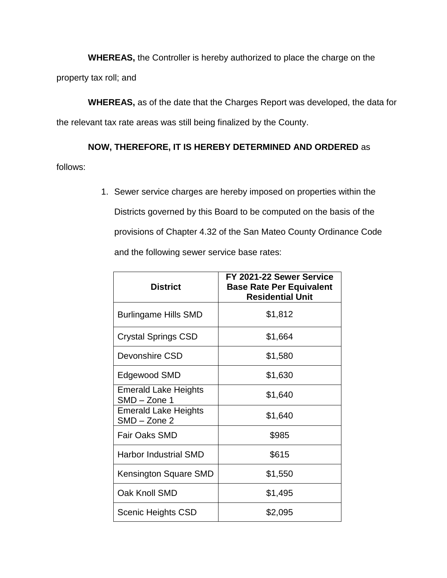**WHEREAS,** the Controller is hereby authorized to place the charge on the property tax roll; and

**WHEREAS,** as of the date that the Charges Report was developed, the data for the relevant tax rate areas was still being finalized by the County.

**NOW, THEREFORE, IT IS HEREBY DETERMINED AND ORDERED** as

follows:

1. Sewer service charges are hereby imposed on properties within the Districts governed by this Board to be computed on the basis of the provisions of Chapter 4.32 of the San Mateo County Ordinance Code and the following sewer service base rates:

| <b>District</b>                               | FY 2021-22 Sewer Service<br><b>Base Rate Per Equivalent</b><br><b>Residential Unit</b> |
|-----------------------------------------------|----------------------------------------------------------------------------------------|
| <b>Burlingame Hills SMD</b>                   | \$1,812                                                                                |
| <b>Crystal Springs CSD</b>                    | \$1,664                                                                                |
| Devonshire CSD                                | \$1,580                                                                                |
| Edgewood SMD                                  | \$1,630                                                                                |
| <b>Emerald Lake Heights</b><br>SMD - Zone 1   | \$1,640                                                                                |
| <b>Emerald Lake Heights</b><br>$SMD - Zone$ 2 | \$1,640                                                                                |
| Fair Oaks SMD                                 | \$985                                                                                  |
| <b>Harbor Industrial SMD</b>                  | \$615                                                                                  |
| Kensington Square SMD                         | \$1,550                                                                                |
| Oak Knoll SMD                                 | \$1,495                                                                                |
| Scenic Heights CSD                            | \$2,095                                                                                |